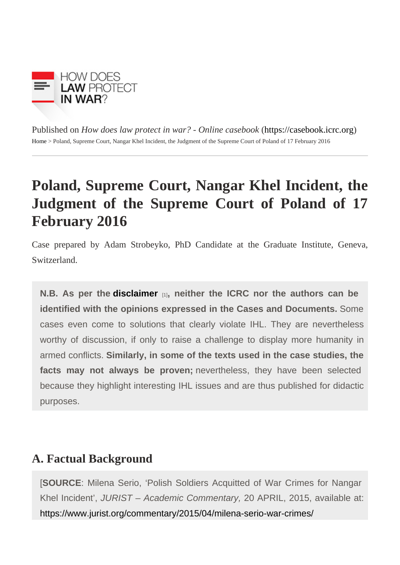Published on How does law protect in war? - Online caseboot in caseb[ook](https://casebook.icrc.org).icrc.org [Home](https://casebook.icrc.org/) > Poland, Supreme Court, Nangar Khel Incident, the Judgment of the Supreme Court of Poland of 17 February 2016

# Poland, Supreme Court, Nangar Khel Incident, the Judgment of the Supreme Court of Poland of 17 February 2016

Case prepared by Adam Strobeyko, PhD Candidate at the Graduate Institute, Geneva Switzerland.

N.B. As per the [disclaimer](https://casebook.icrc.org/disclaimer-and-copyright)  $_{[1]}$ , neither the ICRC nor the authors can be identified with the opinions expressed in the Cases and Documents. Some cases even come to solutions that clearly violate IHL. They are nevertheless worthy of discussion, if only to raise a challenge to display more humanity in armed conflicts. Similarly, in some of the texts used in the case studies, the facts may not always be proven; nevertheless, they have been selected because they highlight interesting IHL issues and are thus published for didactic purposes.

## A. Factual Background

[SOURCE: Milena Serio, 'Polish Soldiers Acquitted of War Crimes for Nangar Khel Incident', JURIST – Academic Commentary, 20 APRIL, 2015, available at: <https://www.jurist.org/commentary/2015/04/milena-serio-war-crimes/>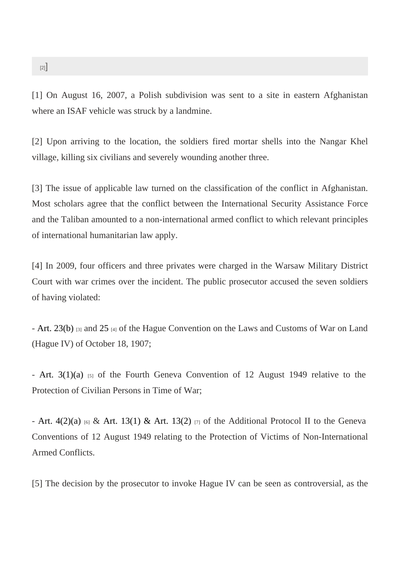[1] On August 16, 2007, a Polish subdivision was sent to a site in eastern Afghanistan where an ISAF vehicle was struck by a landmine.

[2] Upon arriving to the location, the soldiers fired mortar shells into the Nangar Khel village, killing six civilians and severely wounding another three.

[3] The issue of applicable law turned on the classification of the conflict in Afghanistan. Most scholars agree that the conflict between the International Security Assistance Force and the Taliban amounted to a non-international armed conflict to which relevant principles of international humanitarian law apply.

[4] In 2009, four officers and three privates were charged in the Warsaw Military District Court with war crimes over the incident. The public prosecutor accused the seven soldiers of having violated:

- [Art. 23\(b\)](https://ihl-databases.icrc.org/applic/ihl/ihl.nsf/Article.xsp?action=openDocument&documentId=61CDD9E446504870C12563CD00516768)<sub>[3]</sub> an[d 25](https://ihl-databases.icrc.org/applic/ihl/ihl.nsf/Article.xsp?action=openDocument&documentId=D1C251B17210CE8DC12563CD0051678F)<sub>[4]</sub> of the Hague Convention on the Laws and Customs of War on Land (Hague IV) of October 18, 1907;

- [Art. 3\(1\)\(a](https://ihl-databases.icrc.org/applic/ihl/ihl.nsf/Article.xsp?action=openDocument&documentId=A4E145A2A7A68875C12563CD0051B9AE)) [5] of the Fourth Geneva Convention of 12 August 1949 relative to the Protection of Civilian Persons in Time of War;

- Art.  $4(2)(a)_{[6]}$  [& Art. 13\(1\) & Art. 13\(2](https://ihl-databases.icrc.org/applic/ihl/ihl.nsf/Article.xsp?action=openDocument&documentId=A366465E238B1934C12563CD0051E8A0))<sub>[7]</sub> of the Additional Protocol II to the Geneva Conventions of 12 August 1949 relating to the Protection of Victims of Non-International Armed Conflicts.

[5] The decision by the prosecutor to invoke Hague IV can be seen as controversial, as the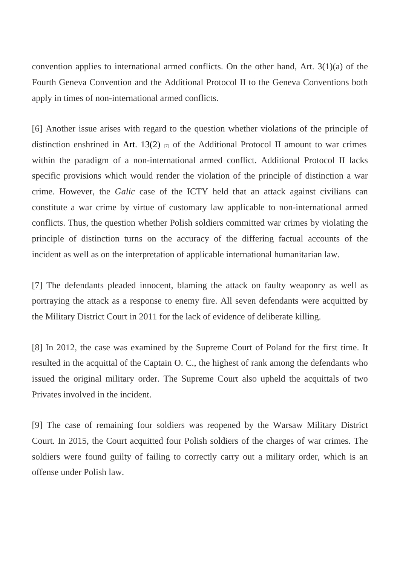convention applies to international armed conflicts. On the other hand, Art. 3(1)(a) of the Fourth Geneva Convention and the Additional Protocol II to the Geneva Conventions both apply in times of non-international armed conflicts.

[6] Another issue arises with regard to the question whether violations of the principle of distinction enshrined [in Art. 13\(2](https://ihl-databases.icrc.org/applic/ihl/ihl.nsf/Article.xsp?action=openDocument&documentId=A366465E238B1934C12563CD0051E8A0))  $_{[7]}$  of the Additional Protocol II amount to war crimes within the paradigm of a non-international armed conflict. Additional Protocol II lacks specific provisions which would render the violation of the principle of distinction a war crime. However, the Galic case of the ICTY held that an attack against civilians can constitute a war crime by virtue of customary law applicable to non-international armed conflicts. Thus, the question whether Polish soldiers committed war crimes by violating the principle of distinction turns on the accuracy of the differing factual accounts of the incident as well as on the interpretation of applicable international humanitarian law.

[7] The defendants pleaded innocent, blaming the attack on faulty weaponry as well as portraying the attack as a response to enemy fire. All seven defendants were acquitted b the Military District Court in 2011 for the lack of evidence of deliberate killing.

[8] In 2012, the case was examined by the Supreme Court of Poland for the first time. It resulted in the acquittal of the Captain O. C., the highest of rank among the defendants who issued the original military order. The Supreme Court also upheld the acquittals of two Privates involved in the incident.

[9] The case of remaining four soldiers was reopened by the Warsaw Military District Court. In 2015, the Court acquitted four Polish soldiers of the charges of war crimes. The soldiers were found guilty of failing to correctly carry out a military order, which is an offense under Polish law.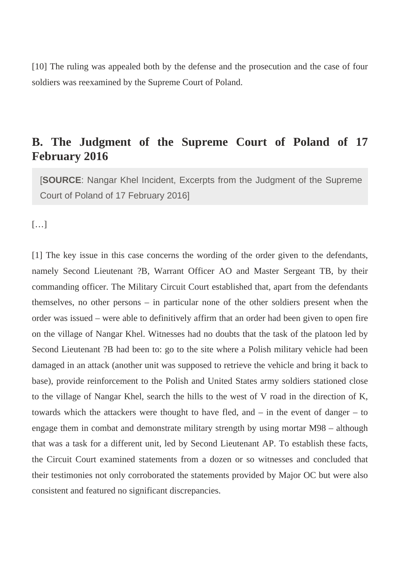[10] The ruling was appealed both by the defense and the prosecution and the case of four soldiers was reexamined by the Supreme Court of Poland.

### **B. The Judgment of the Supreme Court of Poland of 17 February 2016**

[**SOURCE**: Nangar Khel Incident, Excerpts from the Judgment of the Supreme Court of Poland of 17 February 2016]

[…]

[1] The key issue in this case concerns the wording of the order given to the defendants, namely Second Lieutenant ?B, Warrant Officer AO and Master Sergeant TB, by their commanding officer. The Military Circuit Court established that, apart from the defendants themselves, no other persons – in particular none of the other soldiers present when the order was issued – were able to definitively affirm that an order had been given to open fire on the village of Nangar Khel. Witnesses had no doubts that the task of the platoon led by Second Lieutenant ?B had been to: go to the site where a Polish military vehicle had been damaged in an attack (another unit was supposed to retrieve the vehicle and bring it back to base), provide reinforcement to the Polish and United States army soldiers stationed close to the village of Nangar Khel, search the hills to the west of V road in the direction of K, towards which the attackers were thought to have fled, and – in the event of danger – to engage them in combat and demonstrate military strength by using mortar M98 – although that was a task for a different unit, led by Second Lieutenant AP. To establish these facts, the Circuit Court examined statements from a dozen or so witnesses and concluded that their testimonies not only corroborated the statements provided by Major OC but were also consistent and featured no significant discrepancies.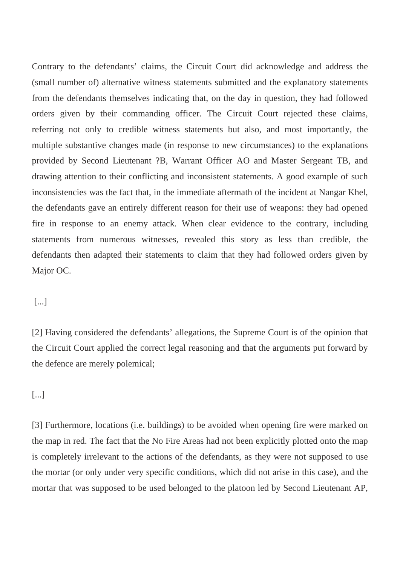Contrary to the defendants' claims, the Circuit Court did acknowledge and address the (small number of) alternative witness statements submitted and the explanatory statements from the defendants themselves indicating that, on the day in question, they had followed orders given by their commanding officer. The Circuit Court rejected these claims, referring not only to credible witness statements but also, and most importantly, the multiple substantive changes made (in response to new circumstances) to the explanations provided by Second Lieutenant ?B, Warrant Officer AO and Master Sergeant TB, and drawing attention to their conflicting and inconsistent statements. A good example of such inconsistencies was the fact that, in the immediate aftermath of the incident at Nangar Khel, the defendants gave an entirely different reason for their use of weapons: they had opened fire in response to an enemy attack. When clear evidence to the contrary, including statements from numerous witnesses, revealed this story as less than credible, the defendants then adapted their statements to claim that they had followed orders given by Major OC.

#### [...]

[2] Having considered the defendants' allegations, the Supreme Court is of the opinion that the Circuit Court applied the correct legal reasoning and that the arguments put forward by the defence are merely polemical;

#### [...]

[3] Furthermore, locations (i.e. buildings) to be avoided when opening fire were marked on the map in red. The fact that the No Fire Areas had not been explicitly plotted onto the map is completely irrelevant to the actions of the defendants, as they were not supposed to use the mortar (or only under very specific conditions, which did not arise in this case), and the mortar that was supposed to be used belonged to the platoon led by Second Lieutenant AP,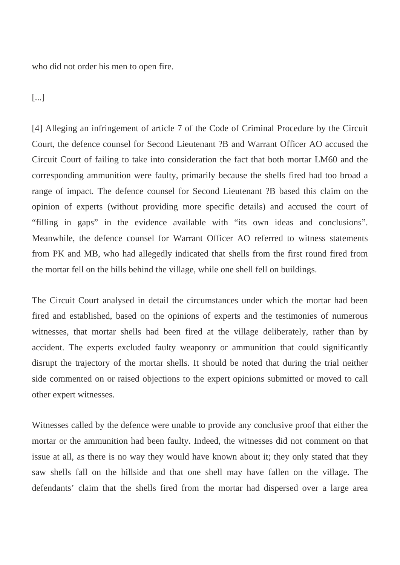who did not order his men to open fire.

[...]

[4] Alleging an infringement of article 7 of the Code of Criminal Procedure by the Circuit Court, the defence counsel for Second Lieutenant ?B and Warrant Officer AO accused the Circuit Court of failing to take into consideration the fact that both mortar LM60 and the corresponding ammunition were faulty, primarily because the shells fired had too broad a range of impact. The defence counsel for Second Lieutenant ?B based this claim on the opinion of experts (without providing more specific details) and accused the court of "filling in gaps" in the evidence available with "its own ideas and conclusions". Meanwhile, the defence counsel for Warrant Officer AO referred to witness statements from PK and MB, who had allegedly indicated that shells from the first round fired from the mortar fell on the hills behind the village, while one shell fell on buildings.

The Circuit Court analysed in detail the circumstances under which the mortar had been fired and established, based on the opinions of experts and the testimonies of numerous witnesses, that mortar shells had been fired at the village deliberately, rather than by accident. The experts excluded faulty weaponry or ammunition that could significantly disrupt the trajectory of the mortar shells. It should be noted that during the trial neither side commented on or raised objections to the expert opinions submitted or moved to call other expert witnesses.

Witnesses called by the defence were unable to provide any conclusive proof that either the mortar or the ammunition had been faulty. Indeed, the witnesses did not comment on that issue at all, as there is no way they would have known about it; they only stated that they saw shells fall on the hillside and that one shell may have fallen on the village. The defendants' claim that the shells fired from the mortar had dispersed over a large area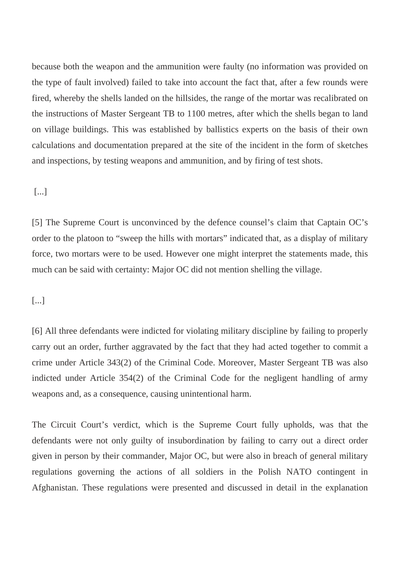because both the weapon and the ammunition were faulty (no information was provided on the type of fault involved) failed to take into account the fact that, after a few rounds were fired, whereby the shells landed on the hillsides, the range of the mortar was recalibrated on the instructions of Master Sergeant TB to 1100 metres, after which the shells began to land on village buildings. This was established by ballistics experts on the basis of their own calculations and documentation prepared at the site of the incident in the form of sketches and inspections, by testing weapons and ammunition, and by firing of test shots.

#### [...]

[5] The Supreme Court is unconvinced by the defence counsel's claim that Captain OC's order to the platoon to "sweep the hills with mortars" indicated that, as a display of military force, two mortars were to be used. However one might interpret the statements made, this much can be said with certainty: Major OC did not mention shelling the village.

#### [...]

[6] All three defendants were indicted for violating military discipline by failing to properly carry out an order, further aggravated by the fact that they had acted together to commit a crime under Article 343(2) of the Criminal Code. Moreover, Master Sergeant TB was also indicted under Article 354(2) of the Criminal Code for the negligent handling of army weapons and, as a consequence, causing unintentional harm.

The Circuit Court's verdict, which is the Supreme Court fully upholds, was that the defendants were not only guilty of insubordination by failing to carry out a direct order given in person by their commander, Major OC, but were also in breach of general military regulations governing the actions of all soldiers in the Polish NATO contingent in Afghanistan. These regulations were presented and discussed in detail in the explanation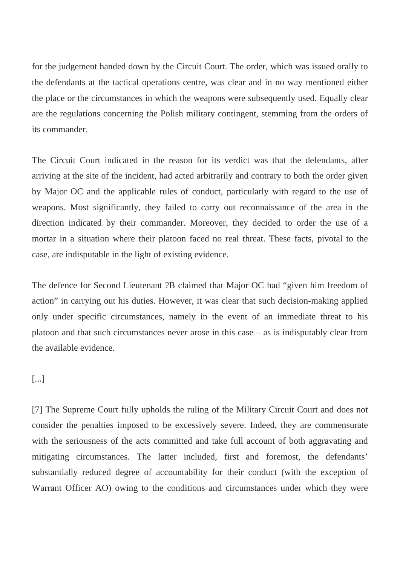for the judgement handed down by the Circuit Court. The order, which was issued orally to the defendants at the tactical operations centre, was clear and in no way mentioned either the place or the circumstances in which the weapons were subsequently used. Equally clear are the regulations concerning the Polish military contingent, stemming from the orders of its commander.

The Circuit Court indicated in the reason for its verdict was that the defendants, after arriving at the site of the incident, had acted arbitrarily and contrary to both the order given by Major OC and the applicable rules of conduct, particularly with regard to the use of weapons. Most significantly, they failed to carry out reconnaissance of the area in the direction indicated by their commander. Moreover, they decided to order the use of a mortar in a situation where their platoon faced no real threat. These facts, pivotal to the case, are indisputable in the light of existing evidence.

The defence for Second Lieutenant ?B claimed that Major OC had "given him freedom of action" in carrying out his duties. However, it was clear that such decision-making applied only under specific circumstances, namely in the event of an immediate threat to his platoon and that such circumstances never arose in this case – as is indisputably clear from the available evidence.

#### [...]

[7] The Supreme Court fully upholds the ruling of the Military Circuit Court and does not consider the penalties imposed to be excessively severe. Indeed, they are commensurate with the seriousness of the acts committed and take full account of both aggravating and mitigating circumstances. The latter included, first and foremost, the defendants' substantially reduced degree of accountability for their conduct (with the exception of Warrant Officer AO) owing to the conditions and circumstances under which they were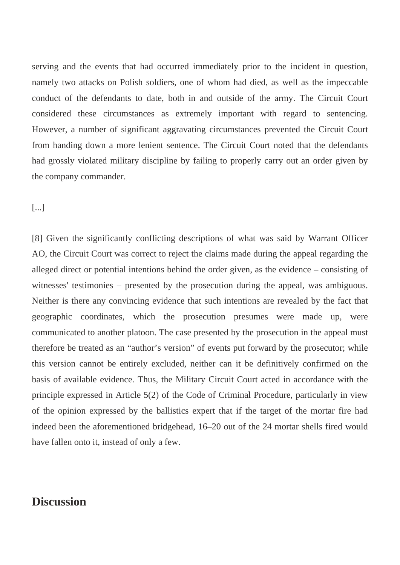serving and the events that had occurred immediately prior to the incident in question, namely two attacks on Polish soldiers, one of whom had died, as well as the impeccable conduct of the defendants to date, both in and outside of the army. The Circuit Court considered these circumstances as extremely important with regard to sentencing. However, a number of significant aggravating circumstances prevented the Circuit Court from handing down a more lenient sentence. The Circuit Court noted that the defendants had grossly violated military discipline by failing to properly carry out an order given by the company commander.

[...]

[8] Given the significantly conflicting descriptions of what was said by Warrant Officer AO, the Circuit Court was correct to reject the claims made during the appeal regarding the alleged direct or potential intentions behind the order given, as the evidence – consisting of witnesses' testimonies – presented by the prosecution during the appeal, was ambiguous. Neither is there any convincing evidence that such intentions are revealed by the fact that geographic coordinates, which the prosecution presumes were made up, were communicated to another platoon. The case presented by the prosecution in the appeal must therefore be treated as an "author's version" of events put forward by the prosecutor; while this version cannot be entirely excluded, neither can it be definitively confirmed on the basis of available evidence. Thus, the Military Circuit Court acted in accordance with the principle expressed in Article 5(2) of the Code of Criminal Procedure, particularly in view of the opinion expressed by the ballistics expert that if the target of the mortar fire had indeed been the aforementioned bridgehead, 16–20 out of the 24 mortar shells fired would have fallen onto it, instead of only a few.

### **Discussion**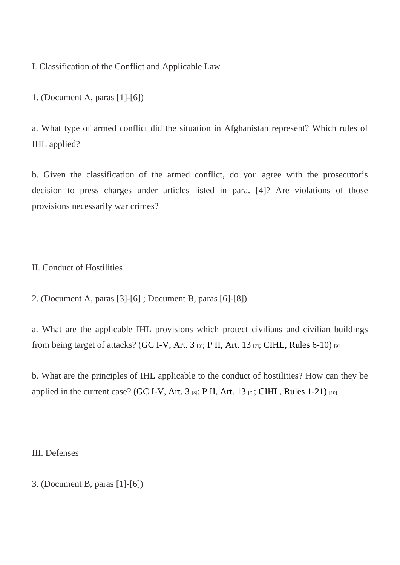I. Classification of the Conflict and Applicable Law

1. (Document A, paras [1]-[6])

a. What type of armed conflict did the situation in Afghanistan represent? Which rules of IHL applied?

b. Given the classification of the armed conflict, do you agree with the prosecutor's decision to press charges under articles listed in para. [4]? Are violations of those provisions necessarily war crimes?

II. Conduct of Hostilities

2. (Document A, paras [3]-[6] ; Document B, paras [6]-[8])

a. What are the applicable IHL provisions which protect civilians and civilian buildings from being target of attacks $\mathbb{G}\mathbb{C}$  I-V, Art. 3[8]; [P II, Art. 13](https://ihl-databases.icrc.org/applic/ihl/ihl.nsf/Article.xsp?action=openDocument&documentId=A366465E238B1934C12563CD0051E8A0)[7]; [CIHL, Rules 6-10](https://ihl-databases.icrc.org/customary-ihl/eng/docs/v1_rul_rule6))<sup>[9]</sup>

b. What are the principles of IHL applicable to the conduct of hostilities? How can they be applied in the current case  $G$ C I-V, Art.  $3_{[8]}$ ; P II, Art.  $13_{[7]}$ ; [CIHL, Rules 1-21](https://ihl-databases.icrc.org/customary-ihl/eng/docs/v1_rul_rule1))<sub>10]</sub>

III. Defenses

3. (Document B, paras [1]-[6])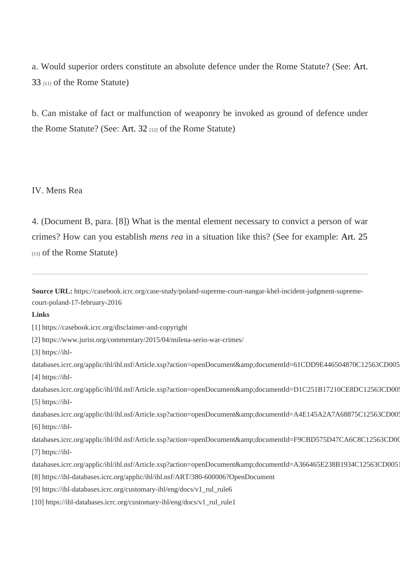a. Would superior orders constitute an absolute defence under the Rome Statutera. (See:  $33_{[11]}$  $33_{[11]}$  of the Rome Statute)

b. Can mistake of fact or malfunction of weaponry be invoked as ground of defence under the Rome Statute? (Setert.  $32_{[12]}$  of the Rome Statute)

#### IV. Mens Rea

4. (Document B, para. [8]) What is the mental element necessary to convict a person of war crimes? How can you establistens rean a situation like this? (See for examplert. 25 [13] of the Rome Statute)

Source URL: https://casebook.icrc.org/case-study/poland-supreme-court-nangar-khel-incident-judgment-supremecourt-poland-17-february-2016

Links

[1] https://casebook.icrc.org/disclaimer-and-copyright

[2] https://www.jurist.org/commentary/2015/04/milena-serio-war-crimes/

[3] https://ihl-

databases.icrc.org/applic/ihl/ihl.nsf/Article.xsp?action=openDocument&documentId=61CDD9E446504870C125 [4] https://ihl-

databases.icrc.org/applic/ihl/ihl.nsf/Article.xsp?action=openDocument&documentId=D1C251B17210CE8DC12 [5] https://ihl-

databases.icrc.org/applic/ihl/ihl.nsf/Article.xsp?action=openDocument&documentId=A4E145A2A7A68875C125 [6] https://ihl-

databases.icrc.org/applic/ihl/ihl.nsf/Article.xsp?action=openDocument&documentId=F9CBD575D47CA6C8C12 [7] https://ihl-

- databases.icrc.org/applic/ihl/ihl.nsf/Article.xsp?action=openDocument&documentId=A366465E238B1934C125
- [8] https://ihl-databases.icrc.org/applic/ihl/ihl.nsf/ART/380-600006?OpenDocument
- [9] https://ihl-databases.icrc.org/customary-ihl/eng/docs/v1\_rul\_rule6
- [10] https://ihl-databases.icrc.org/customary-ihl/eng/docs/v1\_rul\_rule1